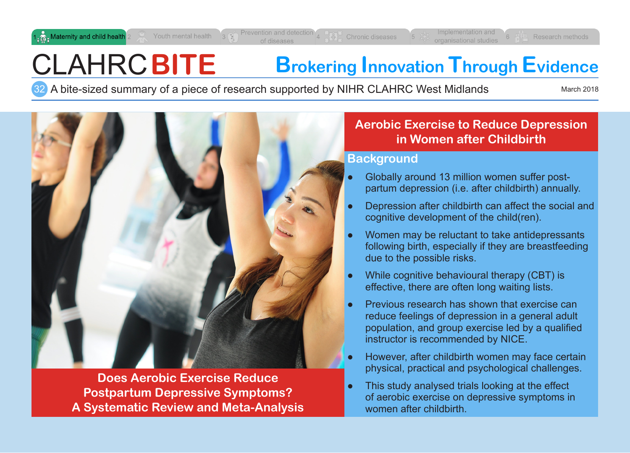**Research methods** 

# CLAHRC**BITE Brokering Innovation Through Evidence**

A bite-sized summary of a piece of research supported by NIHR CLAHRC West Midlands March 2018 32



**Does Aerobic Exercise Reduce Postpartum Depressive Symptoms? A Systematic Review and Meta-Analysis**

# **Aerobic Exercise to Reduce Depression in Women after Childbirth**

### **Background**

- Globally around 13 million women suffer postpartum depression (i.e. after childbirth) annually.
- Depression after childbirth can affect the social and cognitive development of the child(ren).
- Women may be reluctant to take antidepressants following birth, especially if they are breastfeeding due to the possible risks.
- While cognitive behavioural therapy (CBT) is effective, there are often long waiting lists.
- Previous research has shown that exercise can reduce feelings of depression in a general adult population, and group exercise led by a qualified instructor is recommended by NICE.
- However, after childbirth women may face certain physical, practical and psychological challenges.
- This study analysed trials looking at the effect of aerobic exercise on depressive symptoms in women after childbirth.